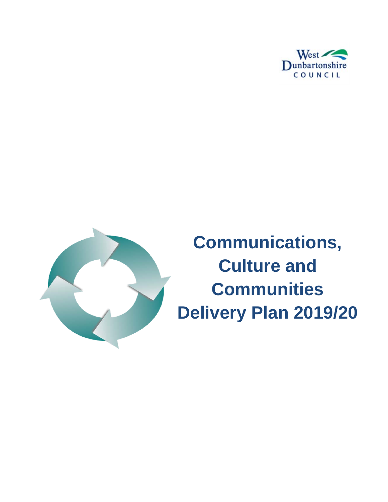



**Communications, Culture and Communities Delivery Plan 2019/20**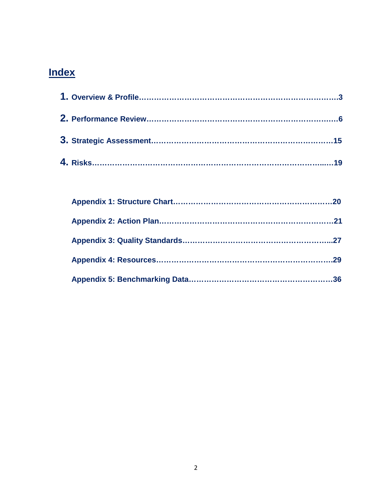# **Index**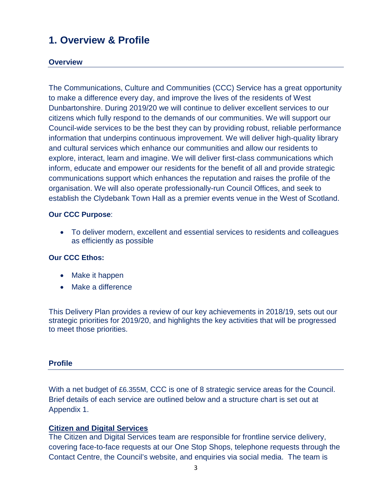## **1. Overview & Profile**

#### **Overview**

The Communications, Culture and Communities (CCC) Service has a great opportunity to make a difference every day, and improve the lives of the residents of West Dunbartonshire. During 2019/20 we will continue to deliver excellent services to our citizens which fully respond to the demands of our communities. We will support our Council-wide services to be the best they can by providing robust, reliable performance information that underpins continuous improvement. We will deliver high-quality library and cultural services which enhance our communities and allow our residents to explore, interact, learn and imagine. We will deliver first-class communications which inform, educate and empower our residents for the benefit of all and provide strategic communications support which enhances the reputation and raises the profile of the organisation. We will also operate professionally-run Council Offices, and seek to establish the Clydebank Town Hall as a premier events venue in the West of Scotland.

#### **Our CCC Purpose**:

• To deliver modern, excellent and essential services to residents and colleagues as efficiently as possible

#### **Our CCC Ethos:**

- Make it happen
- Make a difference

This Delivery Plan provides a review of our key achievements in 2018/19, sets out our strategic priorities for 2019/20, and highlights the key activities that will be progressed to meet those priorities.

#### **Profile**

With a net budget of £6.355M, CCC is one of 8 strategic service areas for the Council. Brief details of each service are outlined below and a structure chart is set out at Appendix 1.

#### **Citizen and Digital Services**

The Citizen and Digital Services team are responsible for frontline service delivery, covering face-to-face requests at our One Stop Shops, telephone requests through the Contact Centre, the Council's website, and enquiries via social media. The team is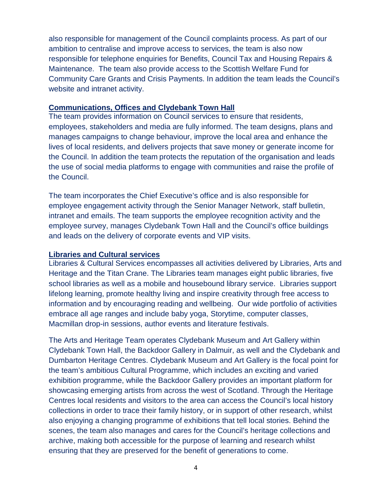also responsible for management of the Council complaints process. As part of our ambition to centralise and improve access to services, the team is also now responsible for telephone enquiries for Benefits, Council Tax and Housing Repairs & Maintenance. The team also provide access to the Scottish Welfare Fund for Community Care Grants and Crisis Payments. In addition the team leads the Council's website and intranet activity.

#### **Communications, Offices and Clydebank Town Hall**

The team provides information on Council services to ensure that residents, employees, stakeholders and media are fully informed. The team designs, plans and manages campaigns to change behaviour, improve the local area and enhance the lives of local residents, and delivers projects that save money or generate income for the Council. In addition the team protects the reputation of the organisation and leads the use of social media platforms to engage with communities and raise the profile of the Council.

The team incorporates the Chief Executive's office and is also responsible for employee engagement activity through the Senior Manager Network, staff bulletin, intranet and emails. The team supports the employee recognition activity and the employee survey, manages Clydebank Town Hall and the Council's office buildings and leads on the delivery of corporate events and VIP visits.

#### **Libraries and Cultural services**

Libraries & Cultural Services encompasses all activities delivered by Libraries, Arts and Heritage and the Titan Crane. The Libraries team manages eight public libraries, five school libraries as well as a mobile and housebound library service. Libraries support lifelong learning, promote healthy living and inspire creativity through free access to information and by encouraging reading and wellbeing. Our wide portfolio of activities embrace all age ranges and include baby yoga, Storytime, computer classes, Macmillan drop-in sessions, author events and literature festivals.

The Arts and Heritage Team operates Clydebank Museum and Art Gallery within Clydebank Town Hall, the Backdoor Gallery in Dalmuir, as well and the Clydebank and Dumbarton Heritage Centres. Clydebank Museum and Art Gallery is the focal point for the team's ambitious Cultural Programme, which includes an exciting and varied exhibition programme, while the Backdoor Gallery provides an important platform for showcasing emerging artists from across the west of Scotland. Through the Heritage Centres local residents and visitors to the area can access the Council's local history collections in order to trace their family history, or in support of other research, whilst also enjoying a changing programme of exhibitions that tell local stories. Behind the scenes, the team also manages and cares for the Council's heritage collections and archive, making both accessible for the purpose of learning and research whilst ensuring that they are preserved for the benefit of generations to come.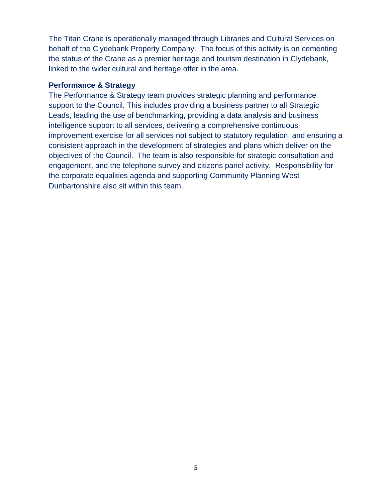The Titan Crane is operationally managed through Libraries and Cultural Services on behalf of the Clydebank Property Company. The focus of this activity is on cementing the status of the Crane as a premier heritage and tourism destination in Clydebank, linked to the wider cultural and heritage offer in the area.

#### **Performance & Strategy**

The Performance & Strategy team provides strategic planning and performance support to the Council. This includes providing a business partner to all Strategic Leads, leading the use of benchmarking, providing a data analysis and business intelligence support to all services, delivering a comprehensive continuous improvement exercise for all services not subject to statutory regulation, and ensuring a consistent approach in the development of strategies and plans which deliver on the objectives of the Council. The team is also responsible for strategic consultation and engagement, and the telephone survey and citizens panel activity. Responsibility for the corporate equalities agenda and supporting Community Planning West Dunbartonshire also sit within this team.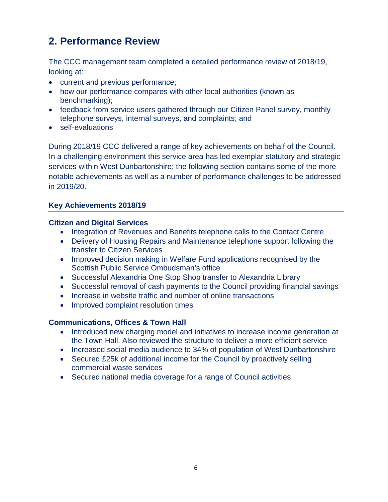## **2. Performance Review**

The CCC management team completed a detailed performance review of 2018/19, looking at:

- current and previous performance;
- how our performance compares with other local authorities (known as benchmarking);
- feedback from service users gathered through our Citizen Panel survey, monthly telephone surveys, internal surveys, and complaints; and
- self-evaluations

During 2018/19 CCC delivered a range of key achievements on behalf of the Council. In a challenging environment this service area has led exemplar statutory and strategic services within West Dunbartonshire; the following section contains some of the more notable achievements as well as a number of performance challenges to be addressed in 2019/20.

#### **Key Achievements 2018/19**

#### **Citizen and Digital Services**

- Integration of Revenues and Benefits telephone calls to the Contact Centre
- Delivery of Housing Repairs and Maintenance telephone support following the transfer to Citizen Services
- Improved decision making in Welfare Fund applications recognised by the Scottish Public Service Ombudsman's office
- Successful Alexandria One Stop Shop transfer to Alexandria Library
- Successful removal of cash payments to the Council providing financial savings
- Increase in website traffic and number of online transactions
- Improved complaint resolution times

#### **Communications, Offices & Town Hall**

- Introduced new charging model and initiatives to increase income generation at the Town Hall. Also reviewed the structure to deliver a more efficient service
- Increased social media audience to 34% of population of West Dunbartonshire
- Secured £25k of additional income for the Council by proactively selling commercial waste services
- Secured national media coverage for a range of Council activities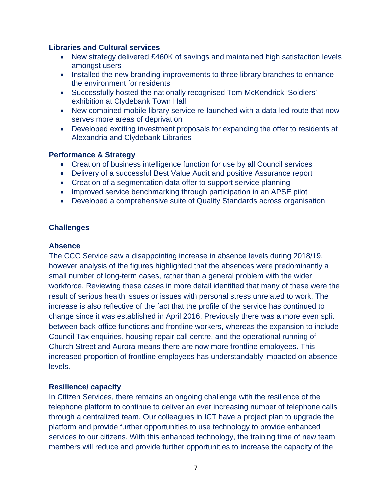#### **Libraries and Cultural services**

- New strategy delivered £460K of savings and maintained high satisfaction levels amongst users
- Installed the new branding improvements to three library branches to enhance the environment for residents
- Successfully hosted the nationally recognised Tom McKendrick 'Soldiers' exhibition at Clydebank Town Hall
- New combined mobile library service re-launched with a data-led route that now serves more areas of deprivation
- Developed exciting investment proposals for expanding the offer to residents at Alexandria and Clydebank Libraries

#### **Performance & Strategy**

- Creation of business intelligence function for use by all Council services
- Delivery of a successful Best Value Audit and positive Assurance report
- Creation of a segmentation data offer to support service planning
- Improved service benchmarking through participation in an APSE pilot
- Developed a comprehensive suite of Quality Standards across organisation

#### **Challenges**

#### **Absence**

The CCC Service saw a disappointing increase in absence levels during 2018/19, however analysis of the figures highlighted that the absences were predominantly a small number of long-term cases, rather than a general problem with the wider workforce. Reviewing these cases in more detail identified that many of these were the result of serious health issues or issues with personal stress unrelated to work. The increase is also reflective of the fact that the profile of the service has continued to change since it was established in April 2016. Previously there was a more even split between back-office functions and frontline workers, whereas the expansion to include Council Tax enquiries, housing repair call centre, and the operational running of Church Street and Aurora means there are now more frontline employees. This increased proportion of frontline employees has understandably impacted on absence levels.

#### **Resilience/ capacity**

In Citizen Services, there remains an ongoing challenge with the resilience of the telephone platform to continue to deliver an ever increasing number of telephone calls through a centralized team. Our colleagues in ICT have a project plan to upgrade the platform and provide further opportunities to use technology to provide enhanced services to our citizens. With this enhanced technology, the training time of new team members will reduce and provide further opportunities to increase the capacity of the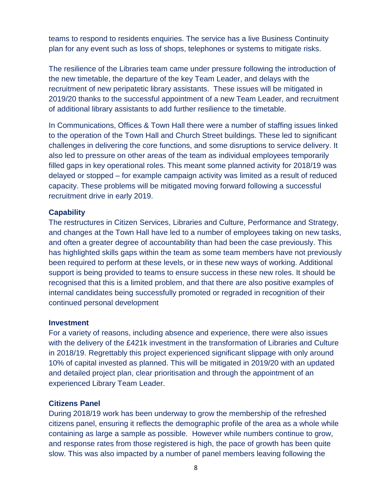teams to respond to residents enquiries. The service has a live Business Continuity plan for any event such as loss of shops, telephones or systems to mitigate risks.

The resilience of the Libraries team came under pressure following the introduction of the new timetable, the departure of the key Team Leader, and delays with the recruitment of new peripatetic library assistants. These issues will be mitigated in 2019/20 thanks to the successful appointment of a new Team Leader, and recruitment of additional library assistants to add further resilience to the timetable.

In Communications, Offices & Town Hall there were a number of staffing issues linked to the operation of the Town Hall and Church Street buildings. These led to significant challenges in delivering the core functions, and some disruptions to service delivery. It also led to pressure on other areas of the team as individual employees temporarily filled gaps in key operational roles. This meant some planned activity for 2018/19 was delayed or stopped – for example campaign activity was limited as a result of reduced capacity. These problems will be mitigated moving forward following a successful recruitment drive in early 2019.

#### **Capability**

The restructures in Citizen Services, Libraries and Culture, Performance and Strategy, and changes at the Town Hall have led to a number of employees taking on new tasks, and often a greater degree of accountability than had been the case previously. This has highlighted skills gaps within the team as some team members have not previously been required to perform at these levels, or in these new ways of working. Additional support is being provided to teams to ensure success in these new roles. It should be recognised that this is a limited problem, and that there are also positive examples of internal candidates being successfully promoted or regraded in recognition of their continued personal development

#### **Investment**

For a variety of reasons, including absence and experience, there were also issues with the delivery of the £421k investment in the transformation of Libraries and Culture in 2018/19. Regrettably this project experienced significant slippage with only around 10% of capital invested as planned. This will be mitigated in 2019/20 with an updated and detailed project plan, clear prioritisation and through the appointment of an experienced Library Team Leader.

#### **Citizens Panel**

During 2018/19 work has been underway to grow the membership of the refreshed citizens panel, ensuring it reflects the demographic profile of the area as a whole while containing as large a sample as possible. However while numbers continue to grow, and response rates from those registered is high, the pace of growth has been quite slow. This was also impacted by a number of panel members leaving following the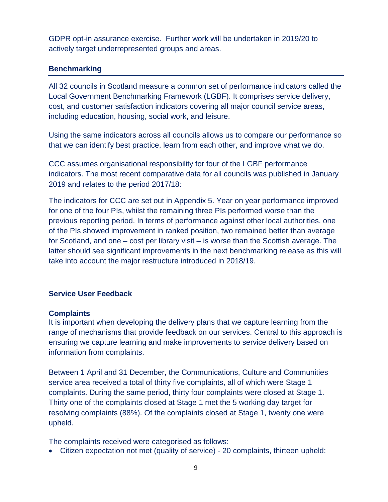GDPR opt-in assurance exercise. Further work will be undertaken in 2019/20 to actively target underrepresented groups and areas.

#### **Benchmarking**

All 32 councils in Scotland measure a common set of performance indicators called the Local Government Benchmarking Framework (LGBF). It comprises service delivery, cost, and customer satisfaction indicators covering all major council service areas, including education, housing, social work, and leisure.

Using the same indicators across all councils allows us to compare our performance so that we can identify best practice, learn from each other, and improve what we do.

CCC assumes organisational responsibility for four of the LGBF performance indicators. The most recent comparative data for all councils was published in January 2019 and relates to the period 2017/18:

The indicators for CCC are set out in Appendix 5. Year on year performance improved for one of the four PIs, whilst the remaining three PIs performed worse than the previous reporting period. In terms of performance against other local authorities, one of the PIs showed improvement in ranked position, two remained better than average for Scotland, and one – cost per library visit – is worse than the Scottish average. The latter should see significant improvements in the next benchmarking release as this will take into account the major restructure introduced in 2018/19.

#### **Service User Feedback**

#### **Complaints**

It is important when developing the delivery plans that we capture learning from the range of mechanisms that provide feedback on our services. Central to this approach is ensuring we capture learning and make improvements to service delivery based on information from complaints.

Between 1 April and 31 December, the Communications, Culture and Communities service area received a total of thirty five complaints, all of which were Stage 1 complaints. During the same period, thirty four complaints were closed at Stage 1. Thirty one of the complaints closed at Stage 1 met the 5 working day target for resolving complaints (88%). Of the complaints closed at Stage 1, twenty one were upheld.

The complaints received were categorised as follows:

• Citizen expectation not met (quality of service) - 20 complaints, thirteen upheld;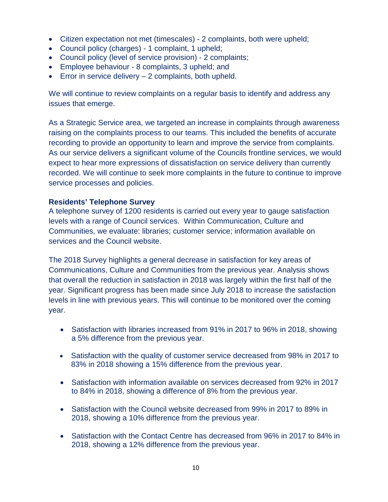- Citizen expectation not met (timescales) 2 complaints, both were upheld;
- Council policy (charges) 1 complaint, 1 upheld;
- Council policy (level of service provision) 2 complaints;
- Employee behaviour 8 complaints, 3 upheld; and
- **•** Error in service delivery  $-2$  complaints, both upheld.

We will continue to review complaints on a regular basis to identify and address any issues that emerge.

As a Strategic Service area, we targeted an increase in complaints through awareness raising on the complaints process to our teams. This included the benefits of accurate recording to provide an opportunity to learn and improve the service from complaints. As our service delivers a significant volume of the Councils frontline services, we would expect to hear more expressions of dissatisfaction on service delivery than currently recorded. We will continue to seek more complaints in the future to continue to improve service processes and policies.

#### **Residents' Telephone Survey**

A telephone survey of 1200 residents is carried out every year to gauge satisfaction levels with a range of Council services. Within Communication, Culture and Communities, we evaluate: libraries; customer service; information available on services and the Council website.

The 2018 Survey highlights a general decrease in satisfaction for key areas of Communications, Culture and Communities from the previous year. Analysis shows that overall the reduction in satisfaction in 2018 was largely within the first half of the year. Significant progress has been made since July 2018 to increase the satisfaction levels in line with previous years. This will continue to be monitored over the coming year.

- Satisfaction with libraries increased from 91% in 2017 to 96% in 2018, showing a 5% difference from the previous year.
- Satisfaction with the quality of customer service decreased from 98% in 2017 to 83% in 2018 showing a 15% difference from the previous year.
- Satisfaction with information available on services decreased from 92% in 2017 to 84% in 2018, showing a difference of 8% from the previous year.
- Satisfaction with the Council website decreased from 99% in 2017 to 89% in 2018, showing a 10% difference from the previous year.
- Satisfaction with the Contact Centre has decreased from 96% in 2017 to 84% in 2018, showing a 12% difference from the previous year.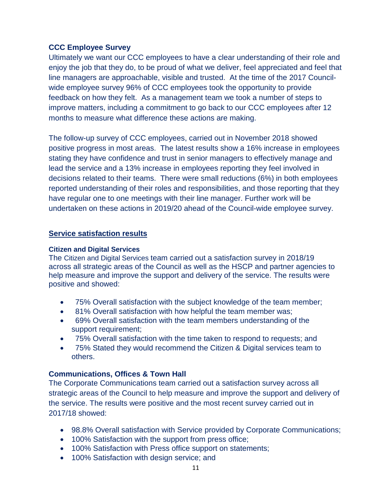#### **CCC Employee Survey**

Ultimately we want our CCC employees to have a clear understanding of their role and enjoy the job that they do, to be proud of what we deliver, feel appreciated and feel that line managers are approachable, visible and trusted. At the time of the 2017 Councilwide employee survey 96% of CCC employees took the opportunity to provide feedback on how they felt. As a management team we took a number of steps to improve matters, including a commitment to go back to our CCC employees after 12 months to measure what difference these actions are making.

The follow-up survey of CCC employees, carried out in November 2018 showed positive progress in most areas. The latest results show a 16% increase in employees stating they have confidence and trust in senior managers to effectively manage and lead the service and a 13% increase in employees reporting they feel involved in decisions related to their teams. There were small reductions (6%) in both employees reported understanding of their roles and responsibilities, and those reporting that they have regular one to one meetings with their line manager. Further work will be undertaken on these actions in 2019/20 ahead of the Council-wide employee survey.

#### **Service satisfaction results**

#### **Citizen and Digital Services**

The Citizen and Digital Services team carried out a satisfaction survey in 2018/19 across all strategic areas of the Council as well as the HSCP and partner agencies to help measure and improve the support and delivery of the service. The results were positive and showed:

- 75% Overall satisfaction with the subject knowledge of the team member;
- 81% Overall satisfaction with how helpful the team member was;
- 69% Overall satisfaction with the team members understanding of the support requirement;
- 75% Overall satisfaction with the time taken to respond to requests; and
- 75% Stated they would recommend the Citizen & Digital services team to others.

#### **Communications, Offices & Town Hall**

The Corporate Communications team carried out a satisfaction survey across all strategic areas of the Council to help measure and improve the support and delivery of the service. The results were positive and the most recent survey carried out in 2017/18 showed:

- 98.8% Overall satisfaction with Service provided by Corporate Communications;
- 100% Satisfaction with the support from press office;
- 100% Satisfaction with Press office support on statements;
- 100% Satisfaction with design service; and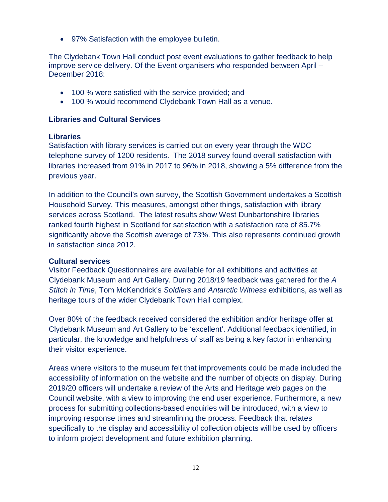• 97% Satisfaction with the employee bulletin.

The Clydebank Town Hall conduct post event evaluations to gather feedback to help improve service delivery. Of the Event organisers who responded between April – December 2018:

- 100 % were satisfied with the service provided; and
- 100 % would recommend Clydebank Town Hall as a venue.

#### **Libraries and Cultural Services**

#### **Libraries**

Satisfaction with library services is carried out on every year through the WDC telephone survey of 1200 residents. The 2018 survey found overall satisfaction with libraries increased from 91% in 2017 to 96% in 2018, showing a 5% difference from the previous year.

In addition to the Council's own survey, the Scottish Government undertakes a Scottish Household Survey. This measures, amongst other things, satisfaction with library services across Scotland. The latest results show West Dunbartonshire libraries ranked fourth highest in Scotland for satisfaction with a satisfaction rate of 85.7% significantly above the Scottish average of 73%. This also represents continued growth in satisfaction since 2012.

#### **Cultural services**

Visitor Feedback Questionnaires are available for all exhibitions and activities at Clydebank Museum and Art Gallery. During 2018/19 feedback was gathered for the *A Stitch in Time*, Tom McKendrick's *Soldiers* and *Antarctic Witness* exhibitions, as well as heritage tours of the wider Clydebank Town Hall complex.

Over 80% of the feedback received considered the exhibition and/or heritage offer at Clydebank Museum and Art Gallery to be 'excellent'. Additional feedback identified, in particular, the knowledge and helpfulness of staff as being a key factor in enhancing their visitor experience.

Areas where visitors to the museum felt that improvements could be made included the accessibility of information on the website and the number of objects on display. During 2019/20 officers will undertake a review of the Arts and Heritage web pages on the Council website, with a view to improving the end user experience. Furthermore, a new process for submitting collections-based enquiries will be introduced, with a view to improving response times and streamlining the process. Feedback that relates specifically to the display and accessibility of collection objects will be used by officers to inform project development and future exhibition planning.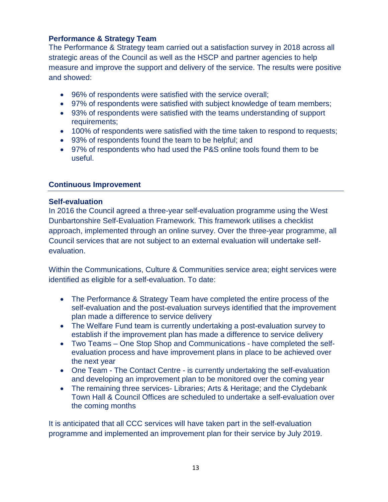#### **Performance & Strategy Team**

The Performance & Strategy team carried out a satisfaction survey in 2018 across all strategic areas of the Council as well as the HSCP and partner agencies to help measure and improve the support and delivery of the service. The results were positive and showed:

- 96% of respondents were satisfied with the service overall;
- 97% of respondents were satisfied with subject knowledge of team members;
- 93% of respondents were satisfied with the teams understanding of support requirements;
- 100% of respondents were satisfied with the time taken to respond to requests;
- 93% of respondents found the team to be helpful; and
- 97% of respondents who had used the P&S online tools found them to be useful.

#### **Continuous Improvement**

#### **Self-evaluation**

In 2016 the Council agreed a three-year self-evaluation programme using the West Dunbartonshire Self-Evaluation Framework. This framework utilises a checklist approach, implemented through an online survey. Over the three-year programme, all Council services that are not subject to an external evaluation will undertake selfevaluation.

Within the Communications, Culture & Communities service area; eight services were identified as eligible for a self-evaluation. To date:

- The Performance & Strategy Team have completed the entire process of the self-evaluation and the post-evaluation surveys identified that the improvement plan made a difference to service delivery
- The Welfare Fund team is currently undertaking a post-evaluation survey to establish if the improvement plan has made a difference to service delivery
- Two Teams One Stop Shop and Communications have completed the selfevaluation process and have improvement plans in place to be achieved over the next year
- One Team The Contact Centre is currently undertaking the self-evaluation and developing an improvement plan to be monitored over the coming year
- The remaining three services- Libraries; Arts & Heritage; and the Clydebank Town Hall & Council Offices are scheduled to undertake a self-evaluation over the coming months

It is anticipated that all CCC services will have taken part in the self-evaluation programme and implemented an improvement plan for their service by July 2019.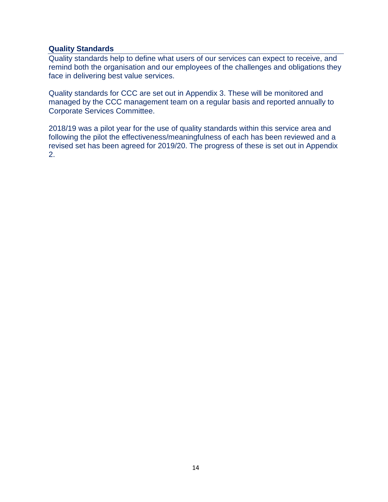#### **Quality Standards**

Quality standards help to define what users of our services can expect to receive, and remind both the organisation and our employees of the challenges and obligations they face in delivering best value services.

Quality standards for CCC are set out in Appendix 3. These will be monitored and managed by the CCC management team on a regular basis and reported annually to Corporate Services Committee.

2018/19 was a pilot year for the use of quality standards within this service area and following the pilot the effectiveness/meaningfulness of each has been reviewed and a revised set has been agreed for 2019/20. The progress of these is set out in Appendix 2.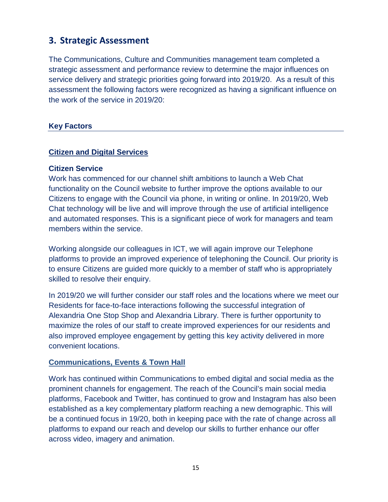### **3. Strategic Assessment**

The Communications, Culture and Communities management team completed a strategic assessment and performance review to determine the major influences on service delivery and strategic priorities going forward into 2019/20. As a result of this assessment the following factors were recognized as having a significant influence on the work of the service in 2019/20:

#### **Key Factors**

#### **Citizen and Digital Services**

#### **Citizen Service**

Work has commenced for our channel shift ambitions to launch a Web Chat functionality on the Council website to further improve the options available to our Citizens to engage with the Council via phone, in writing or online. In 2019/20, Web Chat technology will be live and will improve through the use of artificial intelligence and automated responses. This is a significant piece of work for managers and team members within the service.

Working alongside our colleagues in ICT, we will again improve our Telephone platforms to provide an improved experience of telephoning the Council. Our priority is to ensure Citizens are guided more quickly to a member of staff who is appropriately skilled to resolve their enquiry.

In 2019/20 we will further consider our staff roles and the locations where we meet our Residents for face-to-face interactions following the successful integration of Alexandria One Stop Shop and Alexandria Library. There is further opportunity to maximize the roles of our staff to create improved experiences for our residents and also improved employee engagement by getting this key activity delivered in more convenient locations.

#### **Communications, Events & Town Hall**

Work has continued within Communications to embed digital and social media as the prominent channels for engagement. The reach of the Council's main social media platforms, Facebook and Twitter, has continued to grow and Instagram has also been established as a key complementary platform reaching a new demographic. This will be a continued focus in 19/20, both in keeping pace with the rate of change across all platforms to expand our reach and develop our skills to further enhance our offer across video, imagery and animation.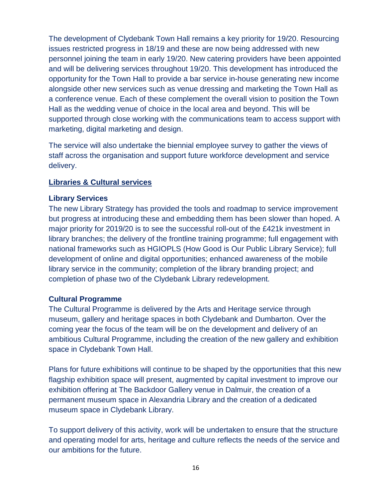The development of Clydebank Town Hall remains a key priority for 19/20. Resourcing issues restricted progress in 18/19 and these are now being addressed with new personnel joining the team in early 19/20. New catering providers have been appointed and will be delivering services throughout 19/20. This development has introduced the opportunity for the Town Hall to provide a bar service in-house generating new income alongside other new services such as venue dressing and marketing the Town Hall as a conference venue. Each of these complement the overall vision to position the Town Hall as the wedding venue of choice in the local area and beyond. This will be supported through close working with the communications team to access support with marketing, digital marketing and design.

The service will also undertake the biennial employee survey to gather the views of staff across the organisation and support future workforce development and service delivery.

#### **Libraries & Cultural services**

#### **Library Services**

The new Library Strategy has provided the tools and roadmap to service improvement but progress at introducing these and embedding them has been slower than hoped. A major priority for 2019/20 is to see the successful roll-out of the £421k investment in library branches; the delivery of the frontline training programme; full engagement with national frameworks such as HGIOPLS (How Good is Our Public Library Service); full development of online and digital opportunities; enhanced awareness of the mobile library service in the community; completion of the library branding project; and completion of phase two of the Clydebank Library redevelopment.

#### **Cultural Programme**

The Cultural Programme is delivered by the Arts and Heritage service through museum, gallery and heritage spaces in both Clydebank and Dumbarton. Over the coming year the focus of the team will be on the development and delivery of an ambitious Cultural Programme, including the creation of the new gallery and exhibition space in Clydebank Town Hall.

Plans for future exhibitions will continue to be shaped by the opportunities that this new flagship exhibition space will present, augmented by capital investment to improve our exhibition offering at The Backdoor Gallery venue in Dalmuir, the creation of a permanent museum space in Alexandria Library and the creation of a dedicated museum space in Clydebank Library.

To support delivery of this activity, work will be undertaken to ensure that the structure and operating model for arts, heritage and culture reflects the needs of the service and our ambitions for the future.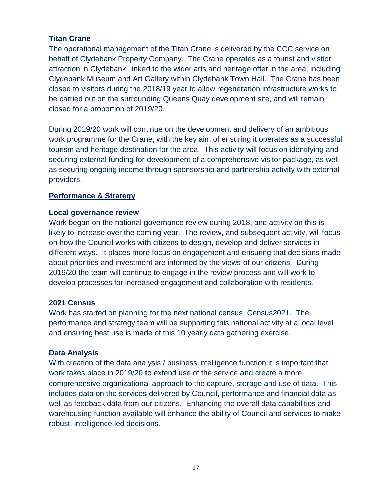#### **Titan Crane**

The operational management of the Titan Crane is delivered by the CCC service on behalf of Clydebank Property Company. The Crane operates as a tourist and visitor attraction in Clydebank, linked to the wider arts and heritage offer in the area, including Clydebank Museum and Art Gallery within Clydebank Town Hall. The Crane has been closed to visitors during the 2018/19 year to allow regeneration infrastructure works to be carried out on the surrounding Queens Quay development site, and will remain closed for a proportion of 2019/20.

During 2019/20 work will continue on the development and delivery of an ambitious work programme for the Crane, with the key aim of ensuring it operates as a successful tourism and heritage destination for the area. This activity will focus on identifying and securing external funding for development of a comprehensive visitor package, as well as securing ongoing income through sponsorship and partnership activity with external providers.

#### **Performance & Strategy**

#### **Local governance review**

Work began on the national governance review during 2018, and activity on this is likely to increase over the coming year. The review, and subsequent activity, will focus on how the Council works with citizens to design, develop and deliver services in different ways. It places more focus on engagement and ensuring that decisions made about priorities and investment are informed by the views of our citizens. During 2019/20 the team will continue to engage in the review process and will work to develop processes for increased engagement and collaboration with residents.

#### **2021 Census**

Work has started on planning for the next national census, Census2021. The performance and strategy team will be supporting this national activity at a local level and ensuring best use is made of this 10 yearly data gathering exercise.

#### **Data Analysis**

With creation of the data analysis / business intelligence function it is important that work takes place in 2019/20 to extend use of the service and create a more comprehensive organizational approach to the capture, storage and use of data. This includes data on the services delivered by Council, performance and financial data as well as feedback data from our citizens. Enhancing the overall data capabilities and warehousing function available will enhance the ability of Council and services to make robust, intelligence led decisions.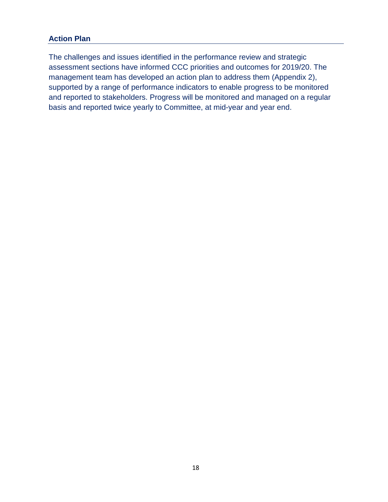#### **Action Plan**

The challenges and issues identified in the performance review and strategic assessment sections have informed CCC priorities and outcomes for 2019/20. The management team has developed an action plan to address them (Appendix 2), supported by a range of performance indicators to enable progress to be monitored and reported to stakeholders. Progress will be monitored and managed on a regular basis and reported twice yearly to Committee, at mid-year and year end.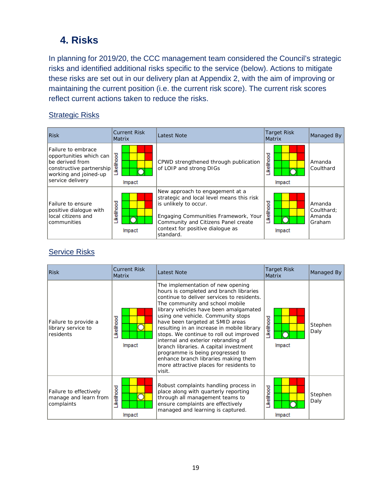## **4. Risks**

In planning for 2019/20, the CCC management team considered the Council's strategic risks and identified additional risks specific to the service (below). Actions to mitigate these risks are set out in our delivery plan at Appendix 2, with the aim of improving or maintaining the current position (i.e. the current risk score). The current risk scores reflect current actions taken to reduce the risks.

#### **Strategic Risks**

| Risk                                                                                                                                      | <b>Current Risk</b><br><b>Matrix</b> | Latest Note                                                                                                                                                                                                                           | <b>Target Risk</b><br>Matrix | Managed By                               |
|-------------------------------------------------------------------------------------------------------------------------------------------|--------------------------------------|---------------------------------------------------------------------------------------------------------------------------------------------------------------------------------------------------------------------------------------|------------------------------|------------------------------------------|
| Failure to embrace<br>opportunities which can<br>be derived from<br>constructive partnership<br>working and joined-up<br>service delivery | ikelihood<br>Impact                  | CPWD strengthened through publication<br>of LOIP and strong DIGs                                                                                                                                                                      | ikelihood<br>Impact          | Amanda<br>Coulthard                      |
| Failure to ensure<br>positive dialoque with<br>local citizens and<br>l communities                                                        | ikelihood<br>Impact                  | New approach to engagement at a<br>strategic and local level means this risk<br>is unlikely to occur.<br>Engaging Communities Framework, Your<br>Community and Citizens Panel create<br>context for positive dialogue as<br>standard. | <b>ikelihood</b><br>Impact   | Amanda<br>Coulthard:<br>Amanda<br>Graham |

#### **Service Risks**

| Risk                                                           | <b>Current Risk</b><br><b>Matrix</b> | <b>Latest Note</b>                                                                                                                                                                                                                                                                                                                                                                                                                                                                                                                                                                           | <b>Target Risk</b><br><b>Matrix</b> | Managed By      |
|----------------------------------------------------------------|--------------------------------------|----------------------------------------------------------------------------------------------------------------------------------------------------------------------------------------------------------------------------------------------------------------------------------------------------------------------------------------------------------------------------------------------------------------------------------------------------------------------------------------------------------------------------------------------------------------------------------------------|-------------------------------------|-----------------|
| Failure to provide a<br>library service to<br><b>residents</b> | <b>kellhood</b><br>Impact            | The implementation of new opening<br>hours is completed and branch libraries<br>continue to deliver services to residents.<br>The community and school mobile<br>library vehicles have been amalgamated<br>using one vehicle. Community stops<br>have been targeted at SMID areas<br>resulting in an increase in mobile library<br>stops. We continue to roll out improved<br>internal and exterior rebranding of<br>branch libraries. A capital investment<br>programme is being progressed to<br>enhance branch libraries making them<br>more attractive places for residents to<br>visit. | elihood<br>옥<br>Impact              | Stephen<br>Daly |
| Failure to effectively<br>manage and learn from<br>complaints  | <b>kellhood</b><br>Impact            | Robust complaints handling process in<br>place along with quarterly reporting<br>through all management teams to<br>ensure complaints are effectively<br>managed and learning is captured.                                                                                                                                                                                                                                                                                                                                                                                                   | <b>ikelihood</b><br>Impact          | Stephen<br>Daly |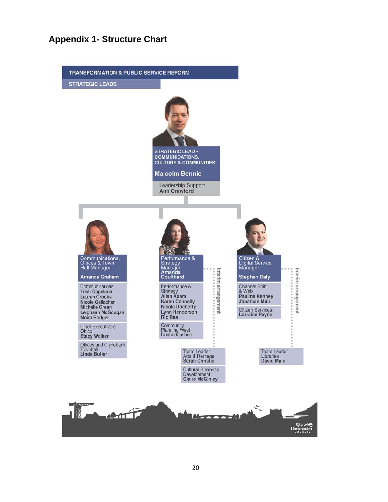#### **Appendix 1- Structure Chart**

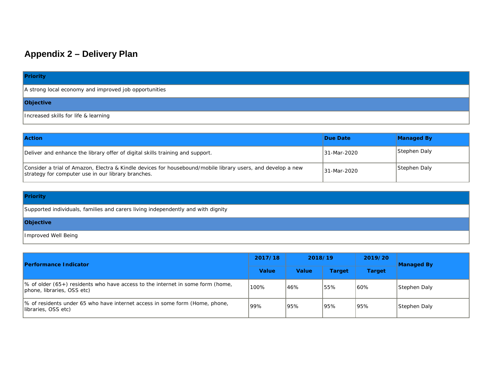## **Appendix 2 – Delivery Plan**

#### **Priority**

A strong local economy and improved job opportunities

#### **Objective**

Increased skills for life & learning

| <b>Action</b>                                                                                                                                                     | Due Date    | <b>Managed By</b> |
|-------------------------------------------------------------------------------------------------------------------------------------------------------------------|-------------|-------------------|
| Deliver and enhance the library offer of digital skills training and support.                                                                                     | 31-Mar-2020 | Stephen Daly      |
| Consider a trial of Amazon, Electra & Kindle devices for housebound/mobile library users, and develop a new<br>strategy for computer use in our library branches. | 31-Mar-2020 | Stephen Daly      |

#### **Priority**

Supported individuals, families and carers living independently and with dignity

#### **Objective**

Improved Well Being

| <b>Performance Indicator</b>                                                                                             | 2017/18 | 2018/19      |               | 2019/20       | Managed By   |  |
|--------------------------------------------------------------------------------------------------------------------------|---------|--------------|---------------|---------------|--------------|--|
|                                                                                                                          |         | <b>Value</b> | <b>Target</b> | <b>Target</b> |              |  |
| $\frac{1}{6}$ of older (65+) residents who have access to the internet in some form (home,<br>phone, libraries, OSS etc) | 100%    | 46%          | 55%           | 60%           | Stephen Daly |  |
| % of residents under 65 who have internet access in some form (Home, phone,<br>libraries, OSS etc)                       | '99%    | 95%          | 95%           | 95%           | Stephen Daly |  |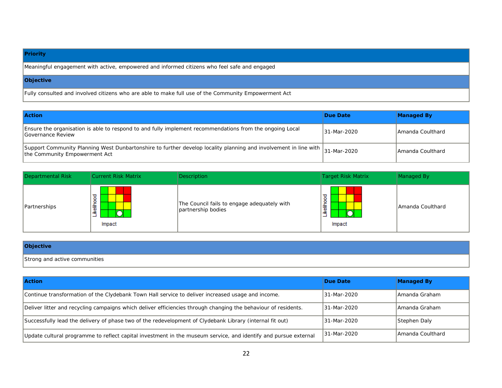#### **Priority**

Meaningful engagement with active, empowered and informed citizens who feel safe and engaged

#### **Objective**

Fully consulted and involved citizens who are able to make full use of the Community Empowerment Act

| <b>Action</b>                                                                                                                                                 | Due Date    | <b>Managed By</b> |
|---------------------------------------------------------------------------------------------------------------------------------------------------------------|-------------|-------------------|
| Ensure the organisation is able to respond to and fully implement recommendations from the ongoing Local<br>Governance Review                                 | 31-Mar-2020 | LAmanda Coulthard |
| Support Community Planning West Dunbartonshire to further develop locality planning and involvement in line with 31-Mar-2020<br>the Community Empowerment Act |             | IAmanda Coulthard |

| Departmental Risk | Current Risk Matrix            | <b>Description</b>                                                | Target Risk Matrix                    | Managed By         |
|-------------------|--------------------------------|-------------------------------------------------------------------|---------------------------------------|--------------------|
| Partnerships      | good<br>龍雀<br>⌒<br>-<br>Impact | The Council fails to engage adequately with<br>partnership bodies | ℧<br>$\circ$<br>я<br>竈<br>≚<br>Impact | l Amanda Coulthard |

# **Objective**

Strong and active communities

| <b>Action</b>                                                                                                   | Due Date     | <b>Managed By</b> |
|-----------------------------------------------------------------------------------------------------------------|--------------|-------------------|
| Continue transformation of the Clydebank Town Hall service to deliver increased usage and income.               | 31-Mar-2020  | IAmanda Graham    |
| Deliver litter and recycling campaigns which deliver efficiencies through changing the behaviour of residents.  | 31-Mar-2020  | lAmanda Graham    |
| Successfully lead the delivery of phase two of the redevelopment of Clydebank Library (internal fit out)        | 31-Mar-2020  | Stephen Daly      |
| Update cultural programme to reflect capital investment in the museum service, and identify and pursue external | 131-Mar-2020 | IAmanda Coulthard |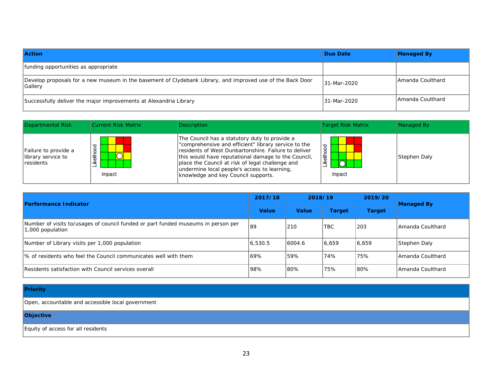| <b>Action</b>                                                                                                                | Due Date     | <b>Managed By</b> |
|------------------------------------------------------------------------------------------------------------------------------|--------------|-------------------|
| funding opportunities as appropriate                                                                                         |              |                   |
| Develop proposals for a new museum in the basement of Clydebank Library, and improved use of the Back Door<br><b>Gallery</b> | 131-Mar-2020 | IAmanda Coulthard |
| Successfully deliver the major improvements at Alexandria Library                                                            | 131-Mar-2020 | lAmanda Coulthard |

| Departmental Risk                                               | Current Risk Matrix                  | Description                                                                                                                                                                                                                                                                                                                                                     | Target Risk Matrix    | Managed By   |
|-----------------------------------------------------------------|--------------------------------------|-----------------------------------------------------------------------------------------------------------------------------------------------------------------------------------------------------------------------------------------------------------------------------------------------------------------------------------------------------------------|-----------------------|--------------|
| Failure to provide a<br>library service to<br><i>c</i> esidents | उ<br>۰<br>₫<br>O<br>竈<br>≚<br>Impact | The Council has a statutory duty to provide a<br>"comprehensive and efficient" library service to the<br>residents of West Dunbartonshire. Failure to deliver<br>this would have reputational damage to the Council.<br>place the Council at risk of legal challenge and<br>undermine local people's access to learning,<br>knowledge and key Council supports. | ℧<br>竈<br>᠆<br>Impact | Stephen Daly |

| <b>Performance Indicator</b>                                                                          |         | 2018/19      |               | 2019/20       | <b>Managed By</b> |  |
|-------------------------------------------------------------------------------------------------------|---------|--------------|---------------|---------------|-------------------|--|
|                                                                                                       |         | <b>Value</b> | <b>Target</b> | <b>Target</b> |                   |  |
| Number of visits to/usages of council funded or part funded museums in person per<br>1,000 population | 189     | 210          | <b>TBC</b>    | 1203          | LAmanda Coulthard |  |
| Number of Library visits per 1,000 population                                                         | 6,530.5 | 6004.6       | 6,659         | 6,659         | Stephen Daly      |  |
| 1% of residents who feel the Council communicates well with them                                      | 69%     | 59%          | 74%           | 75%           | LAmanda Coulthard |  |
| Residents satisfaction with Council services overall                                                  | 98%     | 80%          | 75%           | 180%          | IAmanda Coulthard |  |

#### **Priority**

Open, accountable and accessible local government

#### **Objective**

Equity of access for all residents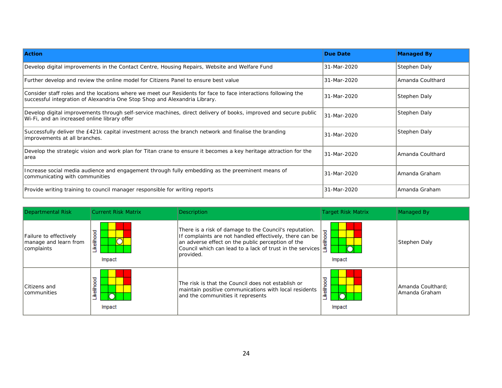| <b>Action</b>                                                                                                                                                                                | <b>Due Date</b> | <b>Managed By</b> |
|----------------------------------------------------------------------------------------------------------------------------------------------------------------------------------------------|-----------------|-------------------|
| Develop digital improvements in the Contact Centre, Housing Repairs, Website and Welfare Fund                                                                                                | 31-Mar-2020     | Stephen Daly      |
| Further develop and review the online model for Citizens Panel to ensure best value                                                                                                          | 31-Mar-2020     | Amanda Coulthard  |
| Consider staff roles and the locations where we meet our Residents for face to face interactions following the<br>successful integration of Alexandria One Stop Shop and Alexandria Library. | 31-Mar-2020     | Stephen Daly      |
| Develop digital improvements through self-service machines, direct delivery of books, improved and secure public<br>Wi-Fi, and an increased online library offer                             | 31-Mar-2020     | Stephen Daly      |
| Successfully deliver the £421k capital investment across the branch network and finalise the branding<br>improvements at all branches.                                                       | 31-Mar-2020     | Stephen Daly      |
| Develop the strategic vision and work plan for Titan crane to ensure it becomes a key heritage attraction for the<br>area                                                                    | 31-Mar-2020     | lAmanda Coulthard |
| Increase social media audience and engagement through fully embedding as the preeminent means of<br>communicating with communities                                                           | 31-Mar-2020     | lAmanda Graham    |
| Provide writing training to council manager responsible for writing reports                                                                                                                  | 31-Mar-2020     | Amanda Graham     |

| Departmental Risk                                             | <b>Current Risk Matrix</b>                      | <b>Description</b>                                                                                                                                                                                                                                | <b>Target Risk Matrix</b>   | Managed By                         |
|---------------------------------------------------------------|-------------------------------------------------|---------------------------------------------------------------------------------------------------------------------------------------------------------------------------------------------------------------------------------------------------|-----------------------------|------------------------------------|
| Failure to effectively<br>manage and learn from<br>complaints | Likelihood<br>$\overline{\mathsf{O}}$<br>Impact | There is a risk of damage to the Council's reputation.<br>If complaints are not handled effectively, there can be<br>an adverse effect on the public perception of the<br>Council which can lead to a lack of trust in the services<br>Iprovided. | ≖<br>elihoo<br>≚<br>Impact  | Stephen Daly                       |
| Citizens and<br>Icommunities                                  | Likelihood<br>Impact                            | The risk is that the Council does not establish or<br>maintain positive communications with local residents<br>and the communities it represents                                                                                                  | elihood<br>⌒<br>≝<br>Impact | Amanda Coulthard;<br>Amanda Graham |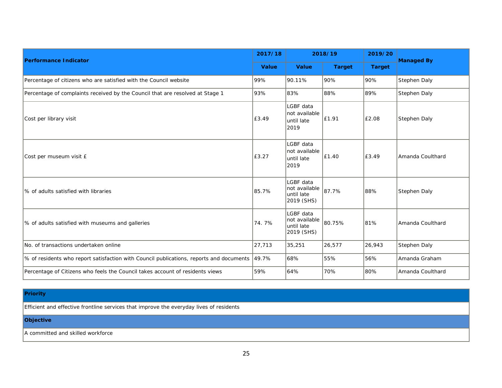| 2017/18<br><b>Performance Indicator</b>                                                 |        | 2018/19                                                |               | 2019/20       | <b>Managed By</b> |  |
|-----------------------------------------------------------------------------------------|--------|--------------------------------------------------------|---------------|---------------|-------------------|--|
|                                                                                         |        | <b>Value</b>                                           | <b>Target</b> | <b>Target</b> |                   |  |
| Percentage of citizens who are satisfied with the Council website                       | 99%    | 90.11%                                                 | 90%           | 90%           | Stephen Daly      |  |
| Percentage of complaints received by the Council that are resolved at Stage 1           | 93%    | 83%                                                    | 88%           | 89%           | Stephen Daly      |  |
| Cost per library visit                                                                  | £3.49  | LGBF data<br>not available<br>until late<br>2019       | £1.91         | £2.08         | Stephen Daly      |  |
| Cost per museum visit £                                                                 | £3.27  | LGBF data<br>not available<br>until late<br>2019       | £1.40         | £3.49         | Amanda Coulthard  |  |
| % of adults satisfied with libraries                                                    | 85.7%  | LGBF data<br>not available<br>until late<br>2019 (SHS) | 87.7%         | 88%           | Stephen Daly      |  |
| % of adults satisfied with museums and galleries                                        | 74.7%  | LGBF data<br>not available<br>until late<br>2019 (SHS) | 80.75%        | 81%           | Amanda Coulthard  |  |
| No. of transactions undertaken online                                                   | 27,713 | 35,251                                                 | 26,577        | 26,943        | Stephen Daly      |  |
| % of residents who report satisfaction with Council publications, reports and documents | 49.7%  | 68%                                                    | 55%           | 56%           | Amanda Graham     |  |
| Percentage of Citizens who feels the Council takes account of residents views           | 59%    | 64%                                                    | 70%           | 80%           | Amanda Coulthard  |  |

#### **Priority**

Efficient and effective frontline services that improve the everyday lives of residents

#### **Objective**

A committed and skilled workforce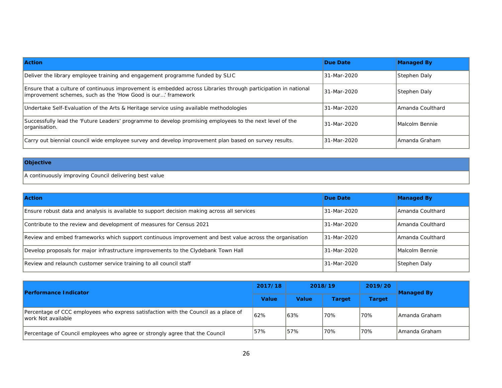| <b>Action</b>                                                                                                                                                                  | Due Date    | <b>Managed By</b> |
|--------------------------------------------------------------------------------------------------------------------------------------------------------------------------------|-------------|-------------------|
| Deliver the library employee training and engagement programme funded by SLIC                                                                                                  | 31-Mar-2020 | Stephen Daly      |
| Ensure that a culture of continuous improvement is embedded across Libraries through participation in national<br>improvement schemes, such as the 'How Good is our' framework | 31-Mar-2020 | Stephen Daly      |
| Undertake Self-Evaluation of the Arts & Heritage service using available methodologies                                                                                         | 31-Mar-2020 | IAmanda Coulthard |
| Successfully lead the 'Future Leaders' programme to develop promising employees to the next level of the<br>organisation.                                                      | 31-Mar-2020 | Malcolm Bennie    |
| Carry out biennial council wide employee survey and develop improvement plan based on survey results.                                                                          | 31-Mar-2020 | lAmanda Graham    |

#### **Objective**

A continuously improving Council delivering best value

| <b>Action</b>                                                                                           | Due Date    | <b>Managed By</b> |
|---------------------------------------------------------------------------------------------------------|-------------|-------------------|
| Ensure robust data and analysis is available to support decision making across all services             | 31-Mar-2020 | Amanda Coulthard  |
| Contribute to the review and development of measures for Census 2021                                    | 31-Mar-2020 | Amanda Coulthard  |
| Review and embed frameworks which support continuous improvement and best value across the organisation | 31-Mar-2020 | IAmanda Coulthard |
| Develop proposals for major infrastructure improvements to the Clydebank Town Hall                      | 31-Mar-2020 | Malcolm Bennie    |
| Review and relaunch customer service training to all council staff                                      | 31-Mar-2020 | Stephen Daly      |

| <b>Performance Indicator</b>                                                                              |              | 2018/19      |        | 2019/20<br><b>Managed By</b> |                |
|-----------------------------------------------------------------------------------------------------------|--------------|--------------|--------|------------------------------|----------------|
|                                                                                                           | <b>Value</b> | <b>Value</b> | Target | Target                       |                |
| Percentage of CCC employees who express satisfaction with the Council as a place of<br>work Not available | 62%          | 63%          | '70%   | 70%                          | IAmanda Graham |
| Percentage of Council employees who agree or strongly agree that the Council                              | 57%          | 57%          | 70%    | 70%                          | IAmanda Graham |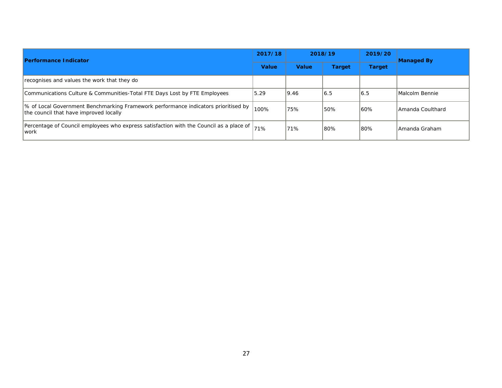| <b>Performance Indicator</b>                                                                                                 |      | 2018/19      |               | 2019/20       | <b>Managed By</b> |  |
|------------------------------------------------------------------------------------------------------------------------------|------|--------------|---------------|---------------|-------------------|--|
|                                                                                                                              |      | <b>Value</b> | <b>Target</b> | <b>Target</b> |                   |  |
| recognises and values the work that they do                                                                                  |      |              |               |               |                   |  |
| Communications Culture & Communities-Total FTE Days Lost by FTE Employees                                                    | 5.29 | 9.46         | 16.5          | 16.5          | Malcolm Bennie    |  |
| % of Local Government Benchmarking Framework performance indicators prioritised by<br>the council that have improved locally | 100% | 75%          | 50%           | 60%           | LAmanda Coulthard |  |
| Percentage of Council employees who express satisfaction with the Council as a place of<br>lwork                             | 71%  | 71%          | 80%           | 180%          | l Amanda Graham   |  |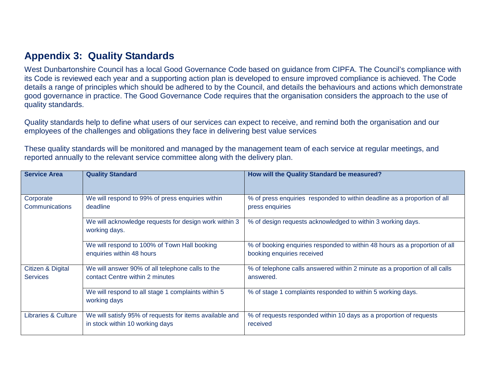## **Appendix 3: Quality Standards**

West Dunbartonshire Council has a local Good Governance Code based on guidance from CIPFA. The Council's compliance with its Code is reviewed each year and a supporting action plan is developed to ensure improved compliance is achieved. The Code details a range of principles which should be adhered to by the Council, and details the behaviours and actions which demonstrate good governance in practice. The Good Governance Code requires that the organisation considers the approach to the use of quality standards.

Quality standards help to define what users of our services can expect to receive, and remind both the organisation and our employees of the challenges and obligations they face in delivering best value services

These quality standards will be monitored and managed by the management team of each service at regular meetings, and reported annually to the relevant service committee along with the delivery plan.

| <b>Service Area</b>                  | <b>Quality Standard</b>                                                                    | How will the Quality Standard be measured?                                                               |
|--------------------------------------|--------------------------------------------------------------------------------------------|----------------------------------------------------------------------------------------------------------|
| Corporate                            | We will respond to 99% of press enquiries within                                           | % of press enquiries responded to within deadline as a proportion of all                                 |
| Communications                       | deadline                                                                                   | press enquiries                                                                                          |
|                                      | We will acknowledge requests for design work within 3<br>working days.                     | % of design requests acknowledged to within 3 working days.                                              |
|                                      | We will respond to 100% of Town Hall booking<br>enquiries within 48 hours                  | % of booking enquiries responded to within 48 hours as a proportion of all<br>booking enquiries received |
| Citizen & Digital<br><b>Services</b> | We will answer 90% of all telephone calls to the<br>contact Centre within 2 minutes        | % of telephone calls answered within 2 minute as a proportion of all calls<br>answered.                  |
|                                      | We will respond to all stage 1 complaints within 5<br>working days                         | % of stage 1 complaints responded to within 5 working days.                                              |
| Libraries & Culture                  | We will satisfy 95% of requests for items available and<br>in stock within 10 working days | % of requests responded within 10 days as a proportion of requests<br>received                           |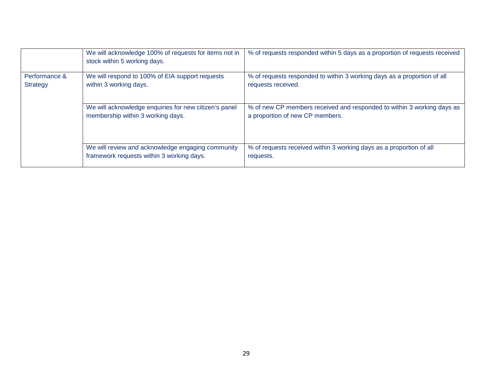|                           | We will acknowledge 100% of requests for items not in<br>stock within 5 working days.          | % of requests responded within 5 days as a proportion of requests received                                |
|---------------------------|------------------------------------------------------------------------------------------------|-----------------------------------------------------------------------------------------------------------|
| Performance &<br>Strategy | We will respond to 100% of EIA support requests<br>within 3 working days.                      | % of requests responded to within 3 working days as a proportion of all<br>requests received.             |
|                           | We will acknowledge enquiries for new citizen's panel<br>membership within 3 working days.     | % of new CP members received and responded to within 3 working days as<br>a proportion of new CP members. |
|                           | We will review and acknowledge engaging community<br>framework requests within 3 working days. | % of requests received within 3 working days as a proportion of all<br>requests.                          |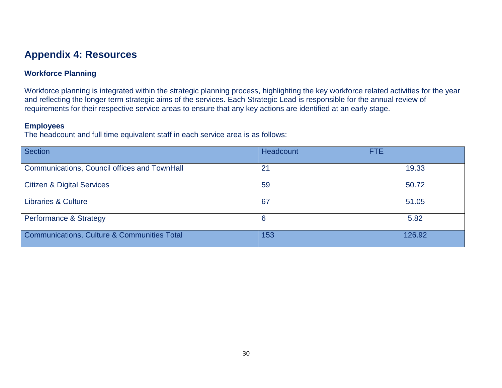## **Appendix 4: Resources**

#### **Workforce Planning**

Workforce planning is integrated within the strategic planning process, highlighting the key workforce related activities for the year and reflecting the longer term strategic aims of the services. Each Strategic Lead is responsible for the annual review of requirements for their respective service areas to ensure that any key actions are identified at an early stage.

#### **Employees**

The headcount and full time equivalent staff in each service area is as follows:

| <b>Section</b>                                         | Headcount | <b>FTE</b> |
|--------------------------------------------------------|-----------|------------|
| Communications, Council offices and TownHall           | 21        | 19.33      |
| <b>Citizen &amp; Digital Services</b>                  | 59        | 50.72      |
| <b>Libraries &amp; Culture</b>                         | 67        | 51.05      |
| <b>Performance &amp; Strategy</b>                      | 6         | 5.82       |
| <b>Communications, Culture &amp; Communities Total</b> | 153       | 126.92     |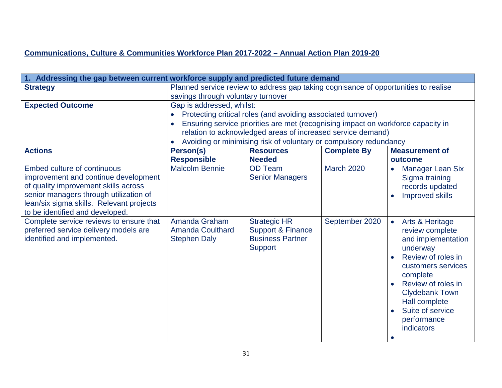#### **Communications, Culture & Communities Workforce Plan 2017-2022 – Annual Action Plan 2019-20**

| 1. Addressing the gap between current workforce supply and predicted future demand |                           |                                                                                     |                    |                              |  |  |
|------------------------------------------------------------------------------------|---------------------------|-------------------------------------------------------------------------------------|--------------------|------------------------------|--|--|
| <b>Strategy</b>                                                                    |                           | Planned service review to address gap taking cognisance of opportunities to realise |                    |                              |  |  |
|                                                                                    |                           | savings through voluntary turnover                                                  |                    |                              |  |  |
| <b>Expected Outcome</b>                                                            | Gap is addressed, whilst: |                                                                                     |                    |                              |  |  |
|                                                                                    |                           | Protecting critical roles (and avoiding associated turnover)                        |                    |                              |  |  |
|                                                                                    |                           | Ensuring service priorities are met (recognising impact on workforce capacity in    |                    |                              |  |  |
|                                                                                    |                           | relation to acknowledged areas of increased service demand)                         |                    |                              |  |  |
|                                                                                    |                           | Avoiding or minimising risk of voluntary or compulsory redundancy                   |                    |                              |  |  |
| <b>Actions</b>                                                                     | Person(s)                 | <b>Resources</b>                                                                    | <b>Complete By</b> | <b>Measurement of</b>        |  |  |
|                                                                                    | <b>Responsible</b>        | <b>Needed</b>                                                                       |                    | outcome                      |  |  |
| Embed culture of continuous                                                        | <b>Malcolm Bennie</b>     | <b>OD Team</b>                                                                      | <b>March 2020</b>  | <b>Manager Lean Six</b>      |  |  |
| improvement and continue development                                               |                           | <b>Senior Managers</b>                                                              |                    | Sigma training               |  |  |
| of quality improvement skills across                                               |                           |                                                                                     |                    | records updated              |  |  |
| senior managers through utilization of<br>lean/six sigma skills. Relevant projects |                           |                                                                                     |                    | <b>Improved skills</b>       |  |  |
| to be identified and developed.                                                    |                           |                                                                                     |                    |                              |  |  |
| Complete service reviews to ensure that                                            | Amanda Graham             | <b>Strategic HR</b>                                                                 | September 2020     | Arts & Heritage<br>$\bullet$ |  |  |
| preferred service delivery models are                                              | <b>Amanda Coulthard</b>   | <b>Support &amp; Finance</b>                                                        |                    | review complete              |  |  |
| identified and implemented.                                                        | <b>Stephen Daly</b>       | <b>Business Partner</b>                                                             |                    | and implementation           |  |  |
|                                                                                    |                           | <b>Support</b>                                                                      |                    | underway                     |  |  |
|                                                                                    |                           |                                                                                     |                    | Review of roles in           |  |  |
|                                                                                    |                           |                                                                                     |                    | customers services           |  |  |
|                                                                                    |                           |                                                                                     |                    | complete                     |  |  |
|                                                                                    | Review of roles in        |                                                                                     |                    |                              |  |  |
|                                                                                    | <b>Clydebank Town</b>     |                                                                                     |                    |                              |  |  |
|                                                                                    | Hall complete             |                                                                                     |                    |                              |  |  |
|                                                                                    |                           |                                                                                     |                    | Suite of service             |  |  |
|                                                                                    |                           |                                                                                     |                    | performance                  |  |  |
|                                                                                    |                           |                                                                                     |                    | indicators                   |  |  |
|                                                                                    |                           |                                                                                     |                    |                              |  |  |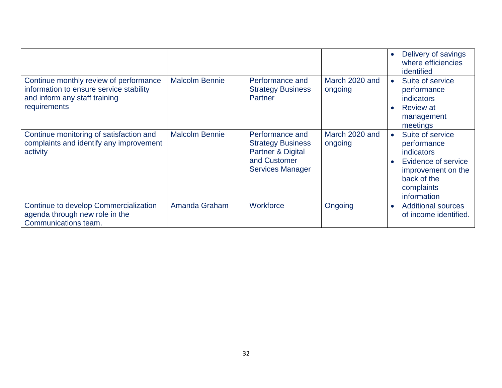|                                                                                                                                    |                       |                                                                                                                        |                           | Delivery of savings<br>where efficiencies<br>identified                                                                                             |
|------------------------------------------------------------------------------------------------------------------------------------|-----------------------|------------------------------------------------------------------------------------------------------------------------|---------------------------|-----------------------------------------------------------------------------------------------------------------------------------------------------|
| Continue monthly review of performance<br>information to ensure service stability<br>and inform any staff training<br>requirements | <b>Malcolm Bennie</b> | Performance and<br><b>Strategy Business</b><br><b>Partner</b>                                                          | March 2020 and<br>ongoing | Suite of service<br>performance<br><b>indicators</b><br><b>Review at</b><br>management<br>meetings                                                  |
| Continue monitoring of satisfaction and<br>complaints and identify any improvement<br>activity                                     | <b>Malcolm Bennie</b> | Performance and<br><b>Strategy Business</b><br><b>Partner &amp; Digital</b><br>and Customer<br><b>Services Manager</b> | March 2020 and<br>ongoing | Suite of service<br>$\bullet$<br>performance<br>indicators<br>Evidence of service<br>improvement on the<br>back of the<br>complaints<br>information |
| Continue to develop Commercialization<br>agenda through new role in the<br>Communications team.                                    | Amanda Graham         | Workforce                                                                                                              | Ongoing                   | <b>Additional sources</b><br>$\bullet$<br>of income identified.                                                                                     |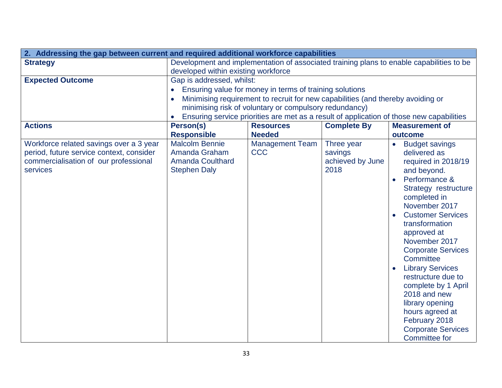| 2. Addressing the gap between current and required additional workforce capabilities |                                                                                          |                                                                                 |                       |                                                                                          |  |  |
|--------------------------------------------------------------------------------------|------------------------------------------------------------------------------------------|---------------------------------------------------------------------------------|-----------------------|------------------------------------------------------------------------------------------|--|--|
| <b>Strategy</b>                                                                      | Development and implementation of associated training plans to enable capabilities to be |                                                                                 |                       |                                                                                          |  |  |
|                                                                                      | developed within existing workforce                                                      |                                                                                 |                       |                                                                                          |  |  |
| <b>Expected Outcome</b>                                                              | Gap is addressed, whilst:                                                                |                                                                                 |                       |                                                                                          |  |  |
|                                                                                      |                                                                                          | Ensuring value for money in terms of training solutions                         |                       |                                                                                          |  |  |
|                                                                                      |                                                                                          | Minimising requirement to recruit for new capabilities (and thereby avoiding or |                       |                                                                                          |  |  |
|                                                                                      |                                                                                          | minimising risk of voluntary or compulsory redundancy)                          |                       |                                                                                          |  |  |
|                                                                                      |                                                                                          |                                                                                 |                       | Ensuring service priorities are met as a result of application of those new capabilities |  |  |
| <b>Actions</b>                                                                       | Person(s)                                                                                | <b>Resources</b>                                                                | <b>Complete By</b>    | <b>Measurement of</b>                                                                    |  |  |
|                                                                                      | <b>Responsible</b>                                                                       | <b>Needed</b>                                                                   |                       | outcome                                                                                  |  |  |
| Workforce related savings over a 3 year<br>period, future service context, consider  | <b>Malcolm Bennie</b><br>Amanda Graham                                                   | <b>Management Team</b><br><b>CCC</b>                                            | Three year<br>savings | <b>Budget savings</b><br>delivered as                                                    |  |  |
| commercialisation of our professional                                                | <b>Amanda Coulthard</b>                                                                  |                                                                                 | achieved by June      | required in 2018/19                                                                      |  |  |
| services                                                                             | <b>Stephen Daly</b>                                                                      |                                                                                 | 2018                  | and beyond.                                                                              |  |  |
|                                                                                      |                                                                                          |                                                                                 |                       | Performance &                                                                            |  |  |
|                                                                                      |                                                                                          |                                                                                 |                       | Strategy restructure                                                                     |  |  |
|                                                                                      |                                                                                          |                                                                                 |                       | completed in                                                                             |  |  |
|                                                                                      |                                                                                          |                                                                                 |                       | November 2017                                                                            |  |  |
|                                                                                      |                                                                                          | <b>Customer Services</b>                                                        |                       |                                                                                          |  |  |
|                                                                                      |                                                                                          | transformation                                                                  |                       |                                                                                          |  |  |
|                                                                                      |                                                                                          |                                                                                 |                       | approved at                                                                              |  |  |
|                                                                                      |                                                                                          |                                                                                 |                       | November 2017                                                                            |  |  |
|                                                                                      |                                                                                          |                                                                                 |                       | <b>Corporate Services</b>                                                                |  |  |
|                                                                                      |                                                                                          |                                                                                 |                       | Committee                                                                                |  |  |
|                                                                                      |                                                                                          |                                                                                 |                       | <b>Library Services</b><br>restructure due to                                            |  |  |
|                                                                                      |                                                                                          |                                                                                 |                       | complete by 1 April                                                                      |  |  |
|                                                                                      |                                                                                          |                                                                                 |                       | 2018 and new                                                                             |  |  |
|                                                                                      |                                                                                          |                                                                                 |                       | library opening                                                                          |  |  |
|                                                                                      |                                                                                          |                                                                                 |                       | hours agreed at                                                                          |  |  |
|                                                                                      |                                                                                          |                                                                                 |                       | February 2018                                                                            |  |  |
|                                                                                      |                                                                                          |                                                                                 |                       | <b>Corporate Services</b>                                                                |  |  |
|                                                                                      |                                                                                          |                                                                                 |                       | <b>Committee for</b>                                                                     |  |  |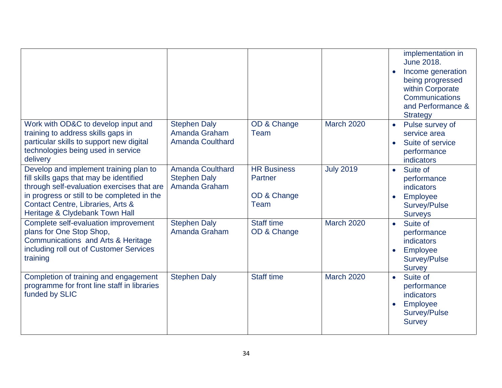|                                                                                                                                                                                                                                                       |                                                                 |                                                      |                   | implementation in<br>June 2018.<br>Income generation<br>being progressed<br>within Corporate<br>Communications<br>and Performance &<br><b>Strategy</b> |
|-------------------------------------------------------------------------------------------------------------------------------------------------------------------------------------------------------------------------------------------------------|-----------------------------------------------------------------|------------------------------------------------------|-------------------|--------------------------------------------------------------------------------------------------------------------------------------------------------|
| Work with OD&C to develop input and<br>training to address skills gaps in<br>particular skills to support new digital<br>technologies being used in service<br>delivery                                                                               | <b>Stephen Daly</b><br>Amanda Graham<br><b>Amanda Coulthard</b> | OD & Change<br>Team                                  | <b>March 2020</b> | Pulse survey of<br>$\bullet$<br>service area<br>Suite of service<br>performance<br><b>indicators</b>                                                   |
| Develop and implement training plan to<br>fill skills gaps that may be identified<br>through self-evaluation exercises that are<br>in progress or still to be completed in the<br>Contact Centre, Libraries, Arts &<br>Heritage & Clydebank Town Hall | <b>Amanda Coulthard</b><br><b>Stephen Daly</b><br>Amanda Graham | <b>HR Business</b><br>Partner<br>OD & Change<br>Team | <b>July 2019</b>  | Suite of<br>$\bullet$<br>performance<br><b>indicators</b><br>Employee<br>Survey/Pulse<br><b>Surveys</b>                                                |
| Complete self-evaluation improvement<br>plans for One Stop Shop,<br>Communications and Arts & Heritage<br>including roll out of Customer Services<br>training                                                                                         | <b>Stephen Daly</b><br>Amanda Graham                            | <b>Staff time</b><br>OD & Change                     | <b>March 2020</b> | Suite of<br>$\bullet$<br>performance<br><b>indicators</b><br>Employee<br>Survey/Pulse<br><b>Survey</b>                                                 |
| Completion of training and engagement<br>programme for front line staff in libraries<br>funded by SLIC                                                                                                                                                | <b>Stephen Daly</b>                                             | <b>Staff time</b>                                    | <b>March 2020</b> | Suite of<br>$\bullet$<br>performance<br>indicators<br>Employee<br>Survey/Pulse<br><b>Survey</b>                                                        |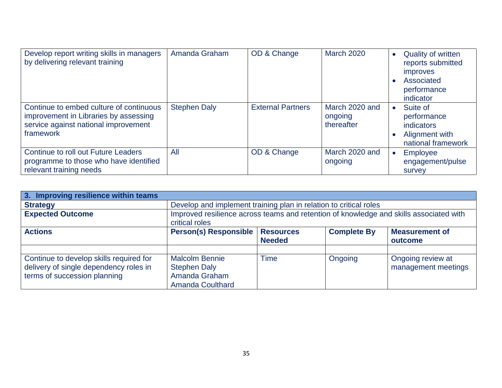| Develop report writing skills in managers<br>by delivering relevant training                                                          | Amanda Graham       | OD & Change              | <b>March 2020</b>                       | <b>Quality of written</b><br>reports submitted<br><i>improves</i><br>Associated<br>performance<br>indicator |
|---------------------------------------------------------------------------------------------------------------------------------------|---------------------|--------------------------|-----------------------------------------|-------------------------------------------------------------------------------------------------------------|
| Continue to embed culture of continuous<br>improvement in Libraries by assessing<br>service against national improvement<br>framework | <b>Stephen Daly</b> | <b>External Partners</b> | March 2020 and<br>ongoing<br>thereafter | Suite of<br>performance<br><i>indicators</i><br>Alignment with<br>national framework                        |
| <b>Continue to roll out Future Leaders</b><br>programme to those who have identified<br>relevant training needs                       | All                 | OD & Change              | March 2020 and<br>ongoing               | <b>Employee</b><br>engagement/pulse<br><b>Survey</b>                                                        |

| 3. Improving resilience within teams    |                                                                                                          |                  |                    |                       |  |
|-----------------------------------------|----------------------------------------------------------------------------------------------------------|------------------|--------------------|-----------------------|--|
| <b>Strategy</b>                         | Develop and implement training plan in relation to critical roles                                        |                  |                    |                       |  |
| <b>Expected Outcome</b>                 | Improved resilience across teams and retention of knowledge and skills associated with<br>critical roles |                  |                    |                       |  |
| <b>Actions</b>                          | <b>Person(s) Responsible</b>                                                                             | <b>Resources</b> | <b>Complete By</b> | <b>Measurement of</b> |  |
|                                         |                                                                                                          | <b>Needed</b>    |                    | outcome               |  |
|                                         |                                                                                                          |                  |                    |                       |  |
| Continue to develop skills required for | <b>Malcolm Bennie</b>                                                                                    | Time             | Ongoing            | Ongoing review at     |  |
| delivery of single dependency roles in  | <b>Stephen Daly</b>                                                                                      |                  |                    | management meetings   |  |
| terms of succession planning            | Amanda Graham                                                                                            |                  |                    |                       |  |
|                                         | <b>Amanda Coulthard</b>                                                                                  |                  |                    |                       |  |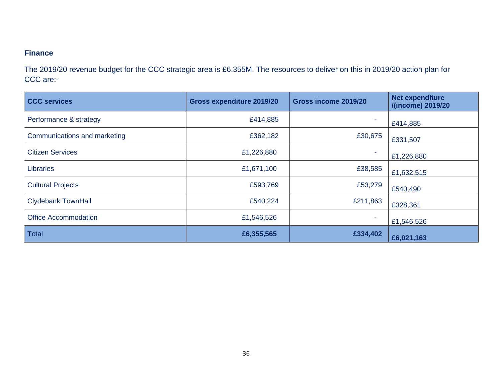#### **Finance**

The 2019/20 revenue budget for the CCC strategic area is £6.355M. The resources to deliver on this in 2019/20 action plan for CCC are:-

| <b>CCC services</b>          | <b>Gross expenditure 2019/20</b> | Gross income 2019/20 | <b>Net expenditure</b><br>/(income) 2019/20 |  |
|------------------------------|----------------------------------|----------------------|---------------------------------------------|--|
| Performance & strategy       | £414,885                         |                      | £414,885                                    |  |
| Communications and marketing | £362,182                         | £30,675              | £331,507                                    |  |
| <b>Citizen Services</b>      | £1,226,880                       | ٠                    | £1,226,880                                  |  |
| Libraries                    | £1,671,100                       | £38,585              | £1,632,515                                  |  |
| <b>Cultural Projects</b>     | £593,769                         | £53,279              | £540,490                                    |  |
| <b>Clydebank TownHall</b>    | £540,224                         | £211,863             | £328,361                                    |  |
| <b>Office Accommodation</b>  | £1,546,526                       |                      | £1,546,526                                  |  |
| <b>Total</b>                 | £6,355,565                       | £334,402             | £6,021,163                                  |  |